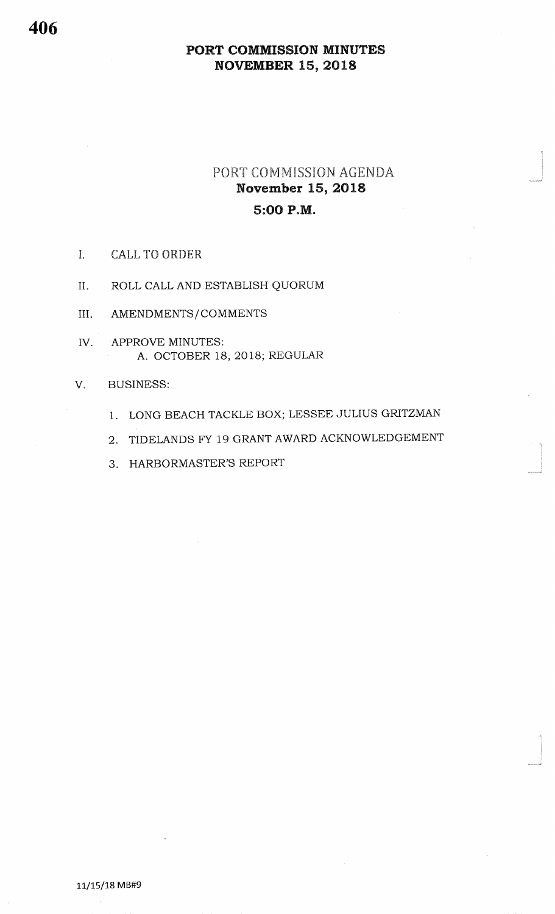## PORT COMMISSION AGENDA November 15, 20185:OO P.M.

- I. CALL TO ORDER.
- U. ROLL CALL AND ESTABLISH QUORUM
- III. AMENDMENTS/COMMENTS
- IVAPPROVE MINUTES:A. OCTOBER 18,2018; REGULAR

#### VBUSINESS:

- 1. LONG BEACH TACKLE BOX; LESSEE JULIUS GRITZMAN
- 2. TIDELANDS FY 19 GRANT AWARD ACKNOWLEDGEMENT

\*<br>Jereo provinci

3. HARBORMASTER'S REPORT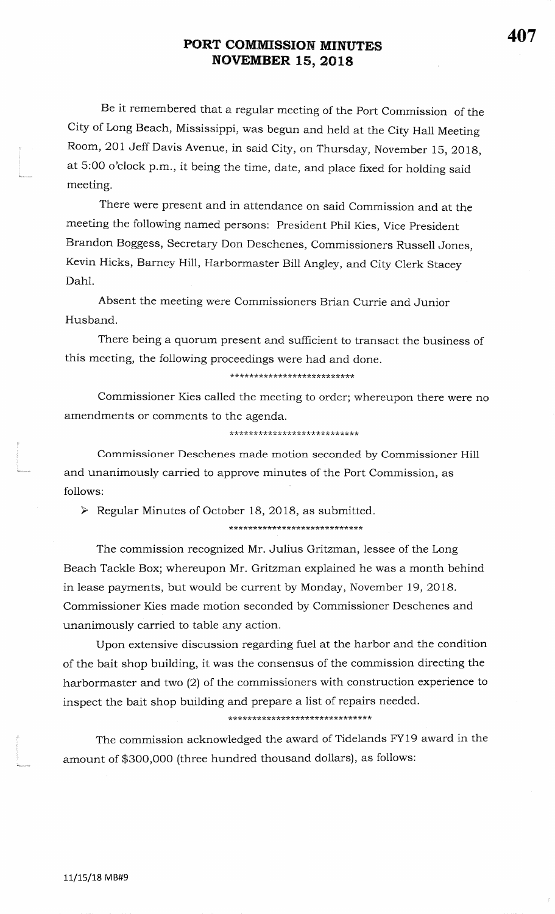Be it remembered that a regular meeting of the Port Commission of the City of Long Beach, Mississippi, was begun and held at the City Hall Meeting Room, 201 Jeff Davis Avenue, in said city, on Thursday, November 15, 201g,at 5:00 o'clock p.m., it being the time, date, and place fixed for holding said meeting.

There were present and in attendance on said Commission and at themeeting the following named persons: President Phil Kies, Vice PresidentBrandon Boggess, Secretary Don Deschenes, Commissioners Russell Jones,Kevin Hicks, Barney Hill, Harbormaster Bill Angley, and city clerk staceyDahl.

Absent the meeting were Commissioners Brian Currie and JuniorHusband.

There being a quorum present and sufficient to transact the business ofthis meeting, the following proceedings were had and done.

\*\*\*\*\*\*\*\*\*\*\*\*\*\*\*\*\*\*\*\*\*\*\*\*\*

Commissioner Kies called the meeting to order; whereupon there were noamendments or comments to the agenda.

\*\*\*\*\*\*\*\*\*\*\*\*\*\*\*\*\*\*\*\*\*\*\*\*\*\*\*

Commissioner Deschenes made motion seconded by Commissioner Hill and unanimously carried to approve minutes of the Port Commission, asfollows:

 $\triangleright$  Regular Minutes of October 18, 2018, as submitted.

\*\*\*\*\*\*\*\*\*\*\*\*\*\*\*\*\*\*\*\*\*\*\*\*\*\*\*\*

The commission recognized Mr. Julius Gritzman, lessee of the LongBeach Tackle Box; whereupon Mr. Gritzman explained he was a month behindin lease payments, but would be current by Monday, November 19, 2018. Commissioner Kies made motion seconded by Commissioner Deschenes andunanimously carried to table any action.

Upon extensive discussion regarding fuel at the harbor and the conditionof the bait shop building, it was the consensus of the commission directing the harbormaster and two (2) of the commissioners with construction experience to inspect the bait shop building and prepare a list of repairs needed.

\*\*\*\*

The commission acknowledged the award of Tidelands FY19 award in theamount of \$3OO,OO0 (three hundred thousand dollars), as foliows: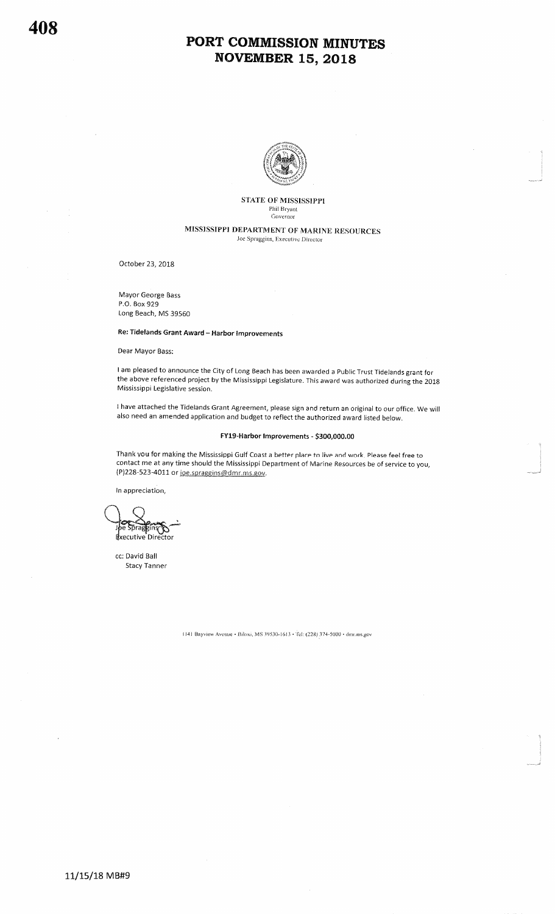

#### STATE OF MISSISSIPPI Phil Bryant<br>Governor

#### MISSISSIPPI DEPARTMENT OF MARINE RESOURCES Joe Spraggins, Executive Director

October 23, 2018

Mayor George BassP.O. Box 929Long Beach, MS 39550

Re: Tidelands Grant Award - Harbor Improvements

Dear Mayor Bass:

<sup>I</sup>am pleased to announce the City of Long Beach has been awarded a Public Trust Tidelands grant forthe above referenced project by the Mississippi Legislature. This award was authorized during the 2018<br>Mississippi Lagislative cossion Mississippi Legislative session.

have attached the Tidelands Grant Agreement, please sign and return an original to our office. We will also need an amended application and budget to reflect the authorized award listed below.

#### FY19-Harbor lmprovements - \$300,000.00

I\*-J

Thank you for making the Mississippi Gulf Coast a better place to live and work. Please feel free to contact me at any time should the Mississippi Department of Marine Resources be of service to you,PJ228-523-4011 or <u>ioe.spraggins@dmr.ms.gov,</u>

ln appreciation,

prage dxecutive Director

cc: David BallStacy Tanner

ll4l Bayview Avenue · Biloxi, MS 39530-1613 · Tel: (228) 374-5000 · dmr.ms.gov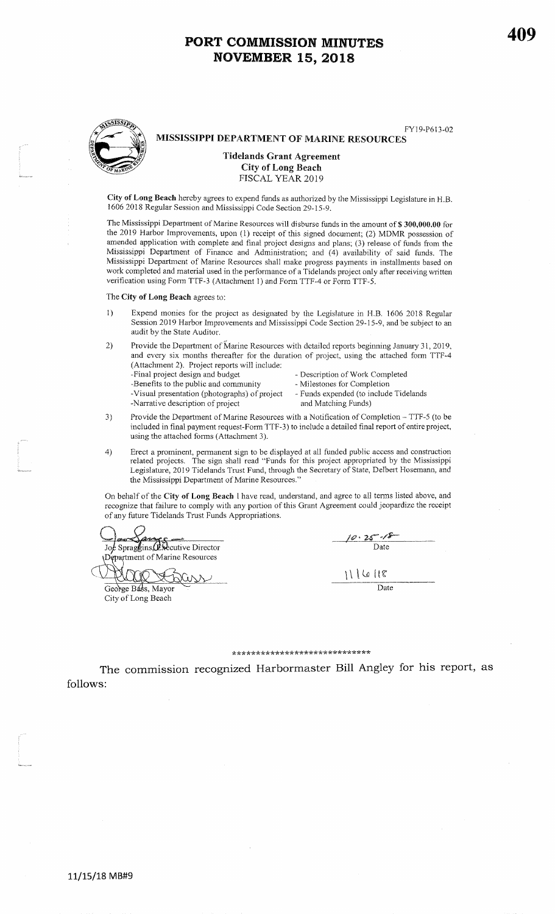MISSISSIPPI DEPARTMENT OF MARINE RESOURCES

FYl9-P613-02

# Tidelands Grant Agreement

City of Long Beach

FISCAL YEAR 20I9

City of Long Beach hereby agrees to expend funds as authorized by the Mississippi Legislature in H.B. 1606 2018 Regular Session and Mississippi Code Section 2g-IS-9.

The Mississippi Department of Marine Resources will disburse funds in the amount of \$300,000.00 for the 2019 Harbor Improvements, upon (1) receipt of this signed document; (2) MDMR possession of amended application with complete and final project designs and plans; (3) release of funds from the Mississippi Department of Finance and Administration; and (4) availability of said funds. TheMississippi Department of Marine Resources shall make progress payments in installments based on work completed and material used in the performance of a Tidelands project only after receiving written verification using Form TTF-3 (Attachment 1) and Form TTF-4 or Form TTF-5.

The City of Long Beach agrees to:

- 1) Expend mouies for the project as designated by the Legislature in H.B. 1606 2018 Regular Session 2019 Harbor Improvements and Mississippi Code Section 29-15-9, and be subject to anaudit by the State Auditor.
- 2) Provide the Department of Marine Resources with dctailed reports beginning January 31, 2019. and every six months thereafter for the duration of project, using the attached form TTF-4 (Attacllnent 2). Project reports will include:
	-
	- -Final project design and budget Description of Work Completed<br>-Benefits to the public and community Milestones for Completion -Benefits to the public and community
	- -Visual presentation (photographs) of project Funds expended (to include Tharrative description of project and Matching Funds) -Narrative description of project
- 
- - Funds expended (to include Tidelands
- 3) Provide the Department of Marine Resources with a Notification of Completion TTF-5 (to be included in linal payment request-Form TTF-3) to includc a detailed final report ofentire project, using the attached forms (Attachment 3).
- 4) Erect a prominent, pemanent sign to be displayed at all funded public access and construction related projects. The sigrr shall reacl "Funds fol this project appropriated by the Mississippi Legislature, 2019 Tidelands Trust Fund, through the Secretary of State, Delbert Hosemann, and the Mississippi Departrnent of Marine Resources."

On behalf of the Cify of Long Beach I have read, understand, and agree to ail temrs listed above, and recognize that failure to comply with any portion of this Grant Agreement could jeopardize the receipt of ary future Tidelands Trust Funds Appropriations.

JSpraggins, Executive Director Department of Marine Resources

George Bass, Mayor  $r \rightarrow$  Date City of Long Beach

| $10.25 - 15$ |
|--------------|
| Date         |
|              |
| 111618       |
| \ate         |

#### \*\*\* \*\*\*\*tk\*\*tk\*\*\*\*\*\*\*\* tk\*\*\* rk\*\* rr \* tk

follows:The commission recognized Harbormaster Bill Angley for his report, as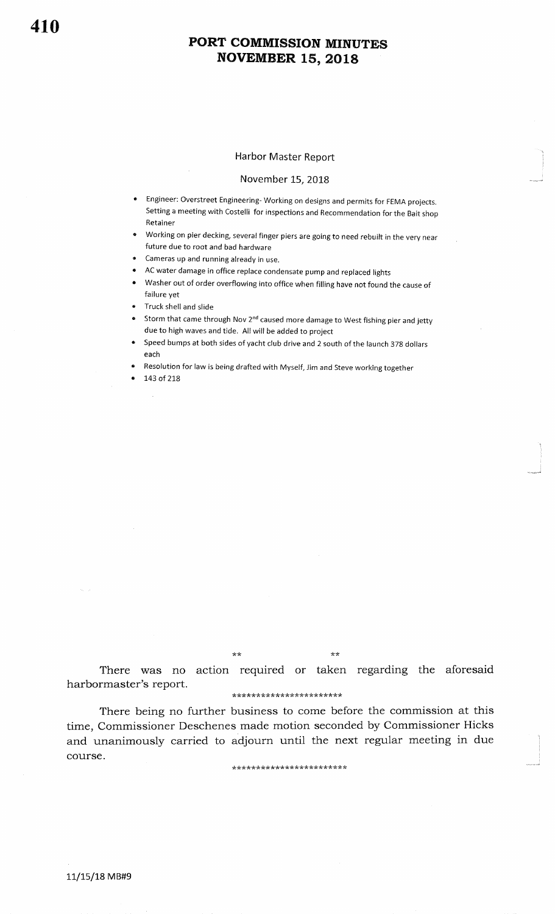#### Harbor Master Report

#### November 15, 2018

- . Engineer: overstreet Engineering- working on designs and permits for FEMA projects. Setting a meeting with Costelli for inspections and Recommendation for the Bait shopRetainer
- IF Working on pier decking, several finger piers are going to need rebuilt in the very near future due to root and bad hardware
- **Cameras up and running already in use**.
- . AC water damage in office replace condensate pump and replaced lights
- **Washer out of order overflowing into office when filling have not found the cause of** failure yet
- r Truck shell and slide
- **.** Storm that came through Nov 2<sup>nd</sup> caused more damage to West fishing pier and jetty due to high waves and tide. All will be added to project
- Speed bumps at both sides of yacht club drive and 2 south of the launch 378 dollars each
- . Resolution for law is being drafted with Myself, Jim and steve working together
- 143 of 218

 $\star\star$ 

:<br>U m<sub>al</sub>igorid

There was no action required or taken regarding the aforesaidharbormaster's report.

#### \*\*\*\*\*\*\*\*\*\*\*\*\*\*\*\*\*\*\*\*\*\*

There being no further business to come before the commission at this time, Commissioner Deschenes made motion seconded by Commissioner Hicks and unanimously carried to adjourn until the next regular meeting in duecourse.

\*\*\*\*\*\*\*\*\*\*\*\*\*\*\*\*\*\*\*\*\*\*\*\*